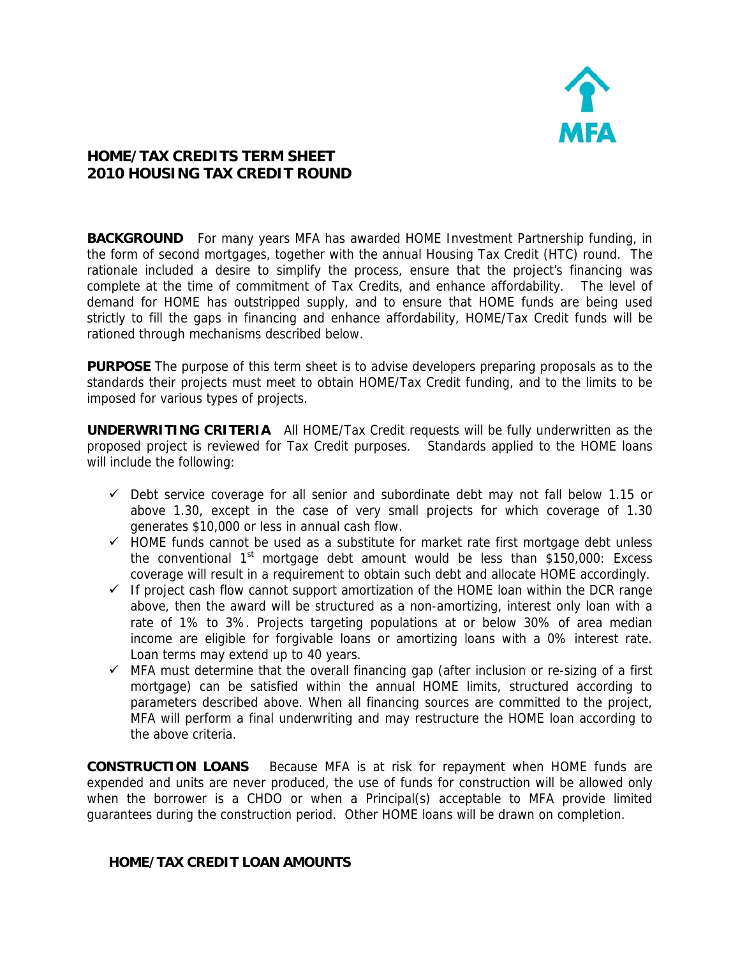

## **HOME/TAX CREDITS TERM SHEET 2010 HOUSING TAX CREDIT ROUND**

**BACKGROUND** For many years MFA has awarded HOME Investment Partnership funding, in the form of second mortgages, together with the annual Housing Tax Credit (HTC) round. The rationale included a desire to simplify the process, ensure that the project's financing was complete at the time of commitment of Tax Credits, and enhance affordability. The level of demand for HOME has outstripped supply, and to ensure that HOME funds are being used strictly to fill the gaps in financing and enhance affordability, HOME/Tax Credit funds will be rationed through mechanisms described below.

**PURPOSE** The purpose of this term sheet is to advise developers preparing proposals as to the standards their projects must meet to obtain HOME/Tax Credit funding, and to the limits to be imposed for various types of projects.

**UNDERWRITING CRITERIA** All HOME/Tax Credit requests will be fully underwritten as the proposed project is reviewed for Tax Credit purposes. Standards applied to the HOME loans will include the following:

- $\checkmark$  Debt service coverage for all senior and subordinate debt may not fall below 1.15 or above 1.30, except in the case of very small projects for which coverage of 1.30 generates \$10,000 or less in annual cash flow.
- $\checkmark$  HOME funds cannot be used as a substitute for market rate first mortgage debt unless the conventional  $1<sup>st</sup>$  mortgage debt amount would be less than \$150,000: Excess coverage will result in a requirement to obtain such debt and allocate HOME accordingly.
- $\checkmark$  If project cash flow cannot support amortization of the HOME loan within the DCR range above, then the award will be structured as a non-amortizing, interest only loan with a rate of 1% to 3%. Projects targeting populations at or below 30% of area median income are eligible for forgivable loans or amortizing loans with a 0% interest rate. Loan terms may extend up to 40 years.
- $\checkmark$  MFA must determine that the overall financing gap (after inclusion or re-sizing of a first mortgage) can be satisfied within the annual HOME limits, structured according to parameters described above. When all financing sources are committed to the project, MFA will perform a final underwriting and may restructure the HOME loan according to the above criteria.

**CONSTRUCTION LOANS** Because MFA is at risk for repayment when HOME funds are expended and units are never produced, the use of funds for construction will be allowed only when the borrower is a CHDO or when a Principal(s) acceptable to MFA provide limited guarantees during the construction period. Other HOME loans will be drawn on completion.

## **HOME/TAX CREDIT LOAN AMOUNTS**